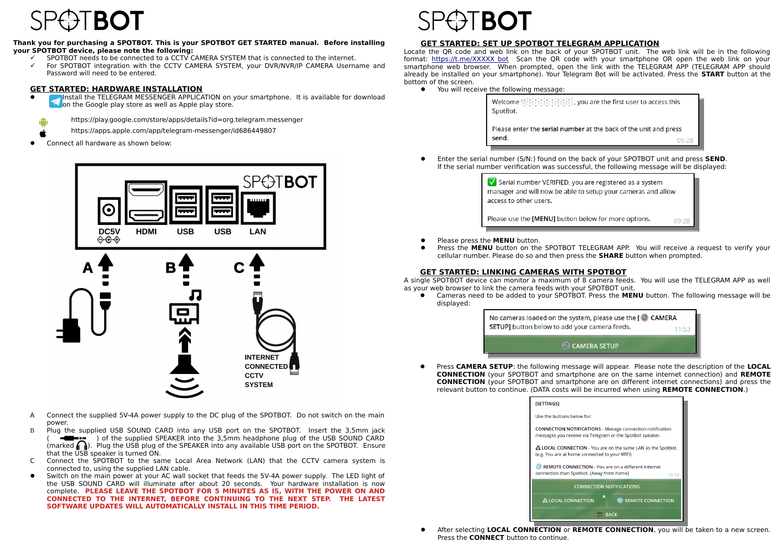## **Thank you for purchasing a SPOTBOT. This is your SPOTBOT GET STARTED manual. Before installing your SPOTBOT device, please note the following:**

- $\checkmark$  SPOTBOT needs to be connected to a CCTV CAMERA SYSTEM that is connected to the internet.
- $\checkmark$  For SPOTBOT integration with the CCTV CAMERA SYSTEM, your DVR/NVR/IP CAMERA Username and Password will need to be entered.

## **GET STARTED: HARDWARE INSTALLATION**

 Install the TELEGRAM MESSENGER APPLICATION on your smartphone. It is available for download  $\blacksquare$  on the Google play store as well as Apple play store.



- https://play.google.com/store/apps/details?id=org.telegram.messenger
- https://apps.apple.com/app/telegram-messenger/id686449807
- Connect all hardware as shown below:



A Connect the supplied 5V-4A power supply to the DC plug of the SPOTBOT. Do not switch on the main power.

**SYSTEM** 

- B Plug the supplied USB SOUND CARD into any USB port on the SPOTBOT. Insert the 3,5mm jack  $\blacksquare$  ( ) of the supplied SPEAKER into the 3.5mm headphone plug of the USB SOUND CARD (marked  $\bigcap$ ). Plug the USB plug of the SPEAKER into any available USB port on the SPOTBOT. Ensure that the USB speaker is turned ON.
- C Connect the SPOTBOT to the same Local Area Network (LAN) that the CCTV camera system is connected to, using the supplied LAN cable.
- Switch on the main power at your AC wall socket that feeds the 5V-4A power supply. The LED light of the USB SOUND CARD will illuminate after about 20 seconds. Your hardware installation is now complete. **PLEASE LEAVE THE SPOTBOT FOR 5 MINUTES AS IS, WITH THE POWER ON AND CONNECTED TO THE INTERNET, BEFORE CONTINUING TO THE NEXT STEP. THE LATEST SOFTWARE UPDATES WILL AUTOMATICALLY INSTALL IN THIS TIME PERIOD.**



# **GET STARTED: SET UP SPOTBOT TELEGRAM APPLICATION**

Locate the QR code and web link on the back of your SPOTBOT unit. The web link will be in the following format: https://t.me/XXXXX bot Scan the QR code with your smartphone OR open the web link on your smartphone web browser. When prompted, open the link with the TELEGRAM APP (TELEGRAM APP should already be installed on your smartphone). Your Telegram Bot will be activated. Press the **START** button at the bottom of the screen.

• You will receive the following message:

| Welcome Spothos population, you are the first user to access this<br>SpotBot. |       |
|-------------------------------------------------------------------------------|-------|
| Please enter the serial number at the back of the unit and press<br>send.     | 09.28 |

 Enter the serial number (S/N:) found on the back of your SPOTBOT unit and press **SEND**. If the serial number verification was successful, the following message will be displayed:

| Serial number VERIFIED, you are registered as a system       |
|--------------------------------------------------------------|
| manager and will now be able to setup your cameras and allow |
| access to other users.                                       |
|                                                              |

Please use the [MENU] button below for more options.  $09:28$ 

- **•** Please press the **MENU** button.
- Press the **MENU** button on the SPOTBOT TELEGRAM APP. You will receive a request to verify your cellular number. Please do so and then press the **SHARE** button when prompted.

## **GET STARTED: LINKING CAMERAS WITH SPOTBOT**

A single SPOTBOT device can monitor a maximum of 8 camera feeds. You will use the TELEGRAM APP as well as your web browser to link the camera feeds with your SPOTBOT unit.

 Cameras need to be added to your SPOTBOT. Press the **MENU** button. The following message will be displayed:



 Press **CAMERA SETUP**: the following message will appear. Please note the description of the **LOCAL CONNECTION** (your SPOTBOT and smartphone are on the same internet connection) and **REMOTE CONNECTION** (your SPOTBOT and smartphone are on different internet connections) and press the relevant button to continue. (DATA costs will be incurred when using **REMOTE CONNECTION**.)

| [SETTINGS]                                                                                                                    |  |  |
|-------------------------------------------------------------------------------------------------------------------------------|--|--|
| Use the buttons below for:                                                                                                    |  |  |
| <b>CONNECTION NOTIFICATIONS - Manage connection notification</b><br>messages you reveive via Telegram or the Spotbot speaker. |  |  |
| & LOCAL CONNECTION - You are on the same LAN as the Spotbot.<br>(e.g. You are at home connected to your WIFI)                 |  |  |
| <b>EXAMPLE CONNECTION</b> - You are on a different Internet<br>connection than Spotbot. (Away from home)<br>14:14             |  |  |
| <b>CONNECTION NOTIFICATIONS</b>                                                                                               |  |  |
| ᅎ<br>& LOCAL CONNECTION<br>REMOTE CONNECTION                                                                                  |  |  |
| <b>BACK</b>                                                                                                                   |  |  |

 After selecting **LOCAL CONNECTION** or **REMOTE CONNECTION**, you will be taken to a new screen. Press the **CONNECT** button to continue.